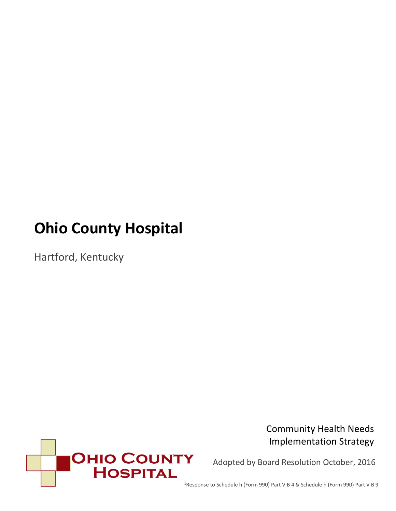# **Ohio County Hospital**

Hartford, Kentucky



Community Health Needs Implementation Strategy

Adopted by Board Resolution October, 2016

1Response to Schedule h (Form 990) Part V B 4 & Schedule h (Form 990) Part V B 9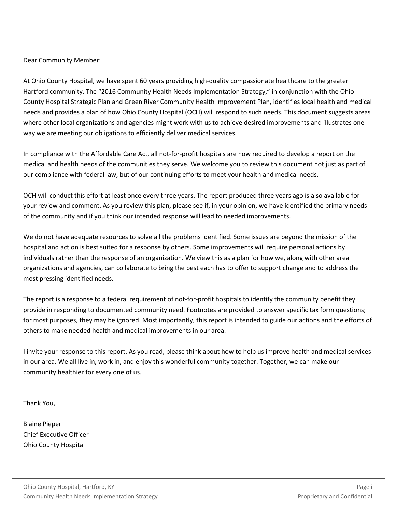Dear Community Member:

At Ohio County Hospital, we have spent 60 years providing high-quality compassionate healthcare to the greater Hartford community. The "2016 Community Health Needs Implementation Strategy," in conjunction with the Ohio County Hospital Strategic Plan and Green River Community Health Improvement Plan, identifies local health and medical needs and provides a plan of how Ohio County Hospital (OCH) will respond to such needs. This document suggests areas where other local organizations and agencies might work with us to achieve desired improvements and illustrates one way we are meeting our obligations to efficiently deliver medical services.

In compliance with the Affordable Care Act, all not-for-profit hospitals are now required to develop a report on the medical and health needs of the communities they serve. We welcome you to review this document not just as part of our compliance with federal law, but of our continuing efforts to meet your health and medical needs.

OCH will conduct this effort at least once every three years. The report produced three years ago is also available for your review and comment. As you review this plan, please see if, in your opinion, we have identified the primary needs of the community and if you think our intended response will lead to needed improvements.

We do not have adequate resources to solve all the problems identified. Some issues are beyond the mission of the hospital and action is best suited for a response by others. Some improvements will require personal actions by individuals rather than the response of an organization. We view this as a plan for how we, along with other area organizations and agencies, can collaborate to bring the best each has to offer to support change and to address the most pressing identified needs.

The report is a response to a federal requirement of not-for-profit hospitals to identify the community benefit they provide in responding to documented community need. Footnotes are provided to answer specific tax form questions; for most purposes, they may be ignored. Most importantly, this report is intended to guide our actions and the efforts of others to make needed health and medical improvements in our area.

I invite your response to this report. As you read, please think about how to help us improve health and medical services in our area. We all live in, work in, and enjoy this wonderful community together. Together, we can make our community healthier for every one of us.

Thank You,

Blaine Pieper Chief Executive Officer Ohio County Hospital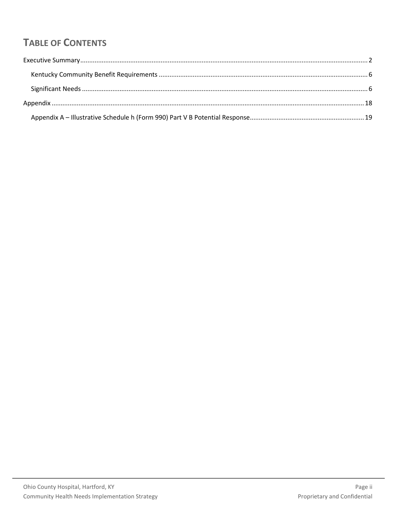# **TABLE OF CONTENTS**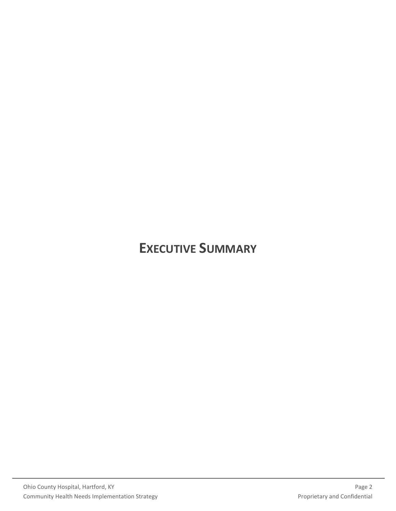# <span id="page-3-0"></span>**EXECUTIVE SUMMARY**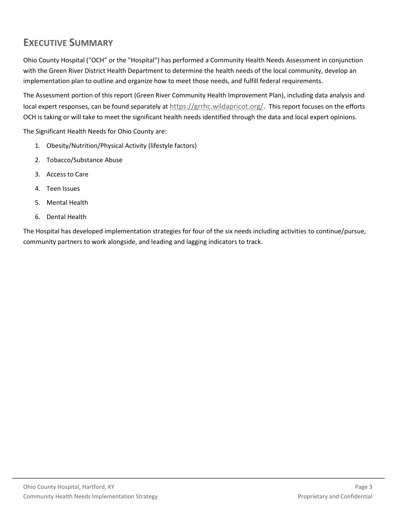# **EXECUTIVE SUMMARY**

Ohio County Hospital ("OCH" or the "Hospital") has performed a Community Health Needs Assessment in conjunction with the Green River District Health Department to determine the health needs of the local community, develop an implementation plan to outline and organize how to meet those needs, and fulfill federal requirements.

The Assessment portion of this report (Green River Community Health Improvement Plan), including data analysis and local expert responses, can be found separately at [https://grrhc.wildapricot.org/.](https://grrhc.wildapricot.org/) This report focuses on the efforts OCH is taking or will take to meet the significant health needs identified through the data and local expert opinions.

The Significant Health Needs for Ohio County are:

- 1. Obesity/Nutrition/Physical Activity (lifestyle factors)
- 2. Tobacco/Substance Abuse
- 3. Access to Care
- 4. Teen Issues
- 5. Mental Health
- 6. Dental Health

The Hospital has developed implementation strategies for four of the six needs including activities to continue/pursue, community partners to work alongside, and leading and lagging indicators to track.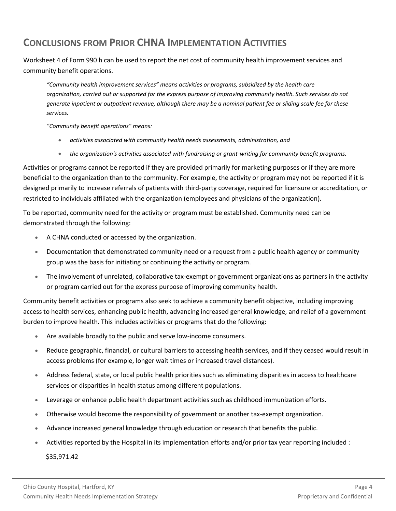# **CONCLUSIONS FROM PRIOR CHNA IMPLEMENTATION ACTIVITIES**

Worksheet 4 of Form 990 h can be used to report the net cost of community health improvement services and community benefit operations.

*"Community health improvement services" means activities or programs, subsidized by the health care organization, carried out or supported for the express purpose of improving community health. Such services do not generate inpatient or outpatient revenue, although there may be a nominal patient fee or sliding scale fee for these services.*

*"Community benefit operations" means:* 

- *activities associated with community health needs assessments, administration, and*
- *the organization's activities associated with fundraising or grant-writing for community benefit programs.*

Activities or programs cannot be reported if they are provided primarily for marketing purposes or if they are more beneficial to the organization than to the community. For example, the activity or program may not be reported if it is designed primarily to increase referrals of patients with third-party coverage, required for licensure or accreditation, or restricted to individuals affiliated with the organization (employees and physicians of the organization).

To be reported, community need for the activity or program must be established. Community need can be demonstrated through the following:

- A CHNA conducted or accessed by the organization.
- Documentation that demonstrated community need or a request from a public health agency or community group was the basis for initiating or continuing the activity or program.
- The involvement of unrelated, collaborative tax-exempt or government organizations as partners in the activity or program carried out for the express purpose of improving community health.

Community benefit activities or programs also seek to achieve a community benefit objective, including improving access to health services, enhancing public health, advancing increased general knowledge, and relief of a government burden to improve health. This includes activities or programs that do the following:

- Are available broadly to the public and serve low-income consumers.
- Reduce geographic, financial, or cultural barriers to accessing health services, and if they ceased would result in access problems (for example, longer wait times or increased travel distances).
- Address federal, state, or local public health priorities such as eliminating disparities in access to healthcare services or disparities in health status among different populations.
- Leverage or enhance public health department activities such as childhood immunization efforts.
- Otherwise would become the responsibility of government or another tax-exempt organization.
- Advance increased general knowledge through education or research that benefits the public.
- Activities reported by the Hospital in its implementation efforts and/or prior tax year reporting included :

\$35,971.42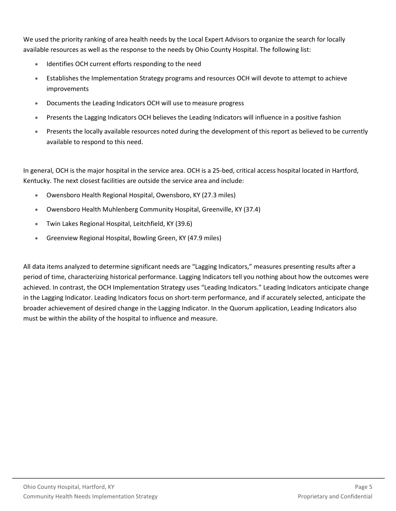We used the priority ranking of area health needs by the Local Expert Advisors to organize the search for locally available resources as well as the response to the needs by Ohio County Hospital. The following list:

- Identifies OCH current efforts responding to the need
- Establishes the Implementation Strategy programs and resources OCH will devote to attempt to achieve improvements
- Documents the Leading Indicators OCH will use to measure progress
- Presents the Lagging Indicators OCH believes the Leading Indicators will influence in a positive fashion
- Presents the locally available resources noted during the development of this report as believed to be currently available to respond to this need.

In general, OCH is the major hospital in the service area. OCH is a 25-bed, critical access hospital located in Hartford, Kentucky. The next closest facilities are outside the service area and include:

- Owensboro Health Regional Hospital, Owensboro, KY (27.3 miles)
- Owensboro Health Muhlenberg Community Hospital, Greenville, KY (37.4)
- Twin Lakes Regional Hospital, Leitchfield, KY (39.6)
- Greenview Regional Hospital, Bowling Green, KY (47.9 miles)

All data items analyzed to determine significant needs are "Lagging Indicators," measures presenting results after a period of time, characterizing historical performance. Lagging Indicators tell you nothing about how the outcomes were achieved. In contrast, the OCH Implementation Strategy uses "Leading Indicators." Leading Indicators anticipate change in the Lagging Indicator. Leading Indicators focus on short-term performance, and if accurately selected, anticipate the broader achievement of desired change in the Lagging Indicator. In the Quorum application, Leading Indicators also must be within the ability of the hospital to influence and measure.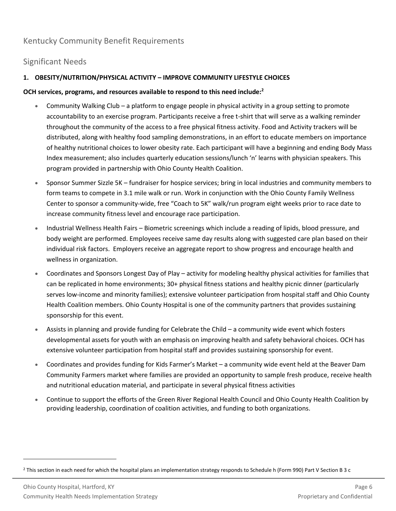# <span id="page-7-0"></span>Kentucky Community Benefit Requirements

# <span id="page-7-1"></span>Significant Needs

# **1. OBESITY/NUTRITION/PHYSICAL ACTIVITY – IMPROVE COMMUNITY LIFESTYLE CHOICES**

# **OCH services, programs, and resources available to respond to this need include:<sup>2</sup>**

- Community Walking Club a platform to engage people in physical activity in a group setting to promote accountability to an exercise program. Participants receive a free t-shirt that will serve as a walking reminder throughout the community of the access to a free physical fitness activity. Food and Activity trackers will be distributed, along with healthy food sampling demonstrations, in an effort to educate members on importance of healthy nutritional choices to lower obesity rate. Each participant will have a beginning and ending Body Mass Index measurement; also includes quarterly education sessions/lunch 'n' learns with physician speakers. This program provided in partnership with Ohio County Health Coalition.
- Sponsor Summer Sizzle 5K fundraiser for hospice services; bring in local industries and community members to form teams to compete in 3.1 mile walk or run. Work in conjunction with the Ohio County Family Wellness Center to sponsor a community-wide, free "Coach to 5K" walk/run program eight weeks prior to race date to increase community fitness level and encourage race participation.
- Industrial Wellness Health Fairs Biometric screenings which include a reading of lipids, blood pressure, and body weight are performed. Employees receive same day results along with suggested care plan based on their individual risk factors. Employers receive an aggregate report to show progress and encourage health and wellness in organization.
- Coordinates and Sponsors Longest Day of Play activity for modeling healthy physical activities for families that can be replicated in home environments; 30+ physical fitness stations and healthy picnic dinner (particularly serves low-income and minority families); extensive volunteer participation from hospital staff and Ohio County Health Coalition members. Ohio County Hospital is one of the community partners that provides sustaining sponsorship for this event.
- Assists in planning and provide funding for Celebrate the Child a community wide event which fosters developmental assets for youth with an emphasis on improving health and safety behavioral choices. OCH has extensive volunteer participation from hospital staff and provides sustaining sponsorship for event.
- Coordinates and provides funding for Kids Farmer's Market a community wide event held at the Beaver Dam Community Farmers market where families are provided an opportunity to sample fresh produce, receive health and nutritional education material, and participate in several physical fitness activities
- Continue to support the efforts of the Green River Regional Health Council and Ohio County Health Coalition by providing leadership, coordination of coalition activities, and funding to both organizations.

<sup>2</sup> This section in each need for which the hospital plans an implementation strategy responds to Schedule h (Form 990) Part V Section B 3 c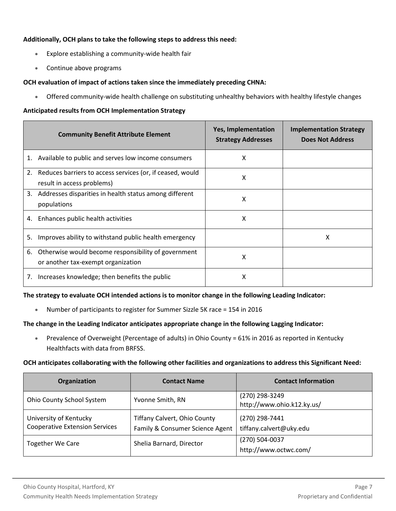# **Additionally, OCH plans to take the following steps to address this need:**

- Explore establishing a community-wide health fair
- Continue above programs

# **OCH evaluation of impact of actions taken since the immediately preceding CHNA:**

• Offered community-wide health challenge on substituting unhealthy behaviors with healthy lifestyle changes

## **Anticipated results from OCH Implementation Strategy**

|    | <b>Community Benefit Attribute Element</b>                                                | <b>Yes, Implementation</b><br><b>Strategy Addresses</b> | <b>Implementation Strategy</b><br><b>Does Not Address</b> |
|----|-------------------------------------------------------------------------------------------|---------------------------------------------------------|-----------------------------------------------------------|
| 1. | Available to public and serves low income consumers                                       | x                                                       |                                                           |
| 2. | Reduces barriers to access services (or, if ceased, would<br>result in access problems)   | x                                                       |                                                           |
|    | 3. Addresses disparities in health status among different<br>populations                  | X                                                       |                                                           |
| 4. | Enhances public health activities                                                         | x                                                       |                                                           |
| 5. | Improves ability to withstand public health emergency                                     |                                                         | x                                                         |
| 6. | Otherwise would become responsibility of government<br>or another tax-exempt organization | X                                                       |                                                           |
| 7. | Increases knowledge; then benefits the public                                             | x                                                       |                                                           |

## **The strategy to evaluate OCH intended actions is to monitor change in the following Leading Indicator:**

• Number of participants to register for Summer Sizzle 5K race = 154 in 2016

## **The change in the Leading Indicator anticipates appropriate change in the following Lagging Indicator:**

• Prevalence of Overweight (Percentage of adults) in Ohio County = 61% in 2016 as reported in Kentucky Healthfacts with data from BRFSS.

## **OCH anticipates collaborating with the following other facilities and organizations to address this Significant Need:**

| Organization                          | <b>Contact Name</b>                 | <b>Contact Information</b> |
|---------------------------------------|-------------------------------------|----------------------------|
| Ohio County School System             | Yvonne Smith, RN                    | (270) 298-3249             |
|                                       |                                     | http://www.ohio.k12.ky.us/ |
| University of Kentucky                | <b>Tiffany Calvert, Ohio County</b> | (270) 298-7441             |
| <b>Cooperative Extension Services</b> | Family & Consumer Science Agent     | tiffany.calvert@uky.edu    |
| <b>Together We Care</b>               | Shelia Barnard, Director            | (270) 504-0037             |
|                                       |                                     | http://www.octwc.com/      |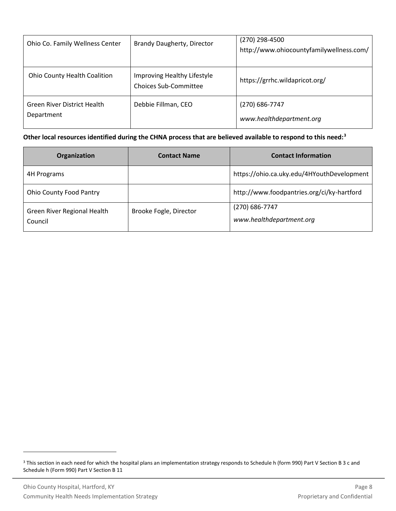| Ohio Co. Family Wellness Center                  | Brandy Daugherty, Director                                  | (270) 298-4500<br>http://www.ohiocountyfamilywellness.com/ |
|--------------------------------------------------|-------------------------------------------------------------|------------------------------------------------------------|
| <b>Ohio County Health Coalition</b>              | Improving Healthy Lifestyle<br><b>Choices Sub-Committee</b> | https://grrhc.wildapricot.org/                             |
| <b>Green River District Health</b><br>Department | Debbie Fillman, CEO                                         | (270) 686-7747<br>www.healthdepartment.org                 |

| Organization                           | <b>Contact Name</b>    | <b>Contact Information</b>                 |
|----------------------------------------|------------------------|--------------------------------------------|
| 4H Programs                            |                        | https://ohio.ca.uky.edu/4HYouthDevelopment |
| <b>Ohio County Food Pantry</b>         |                        | http://www.foodpantries.org/ci/ky-hartford |
| Green River Regional Health<br>Council | Brooke Fogle, Director | (270) 686-7747<br>www.healthdepartment.org |

<sup>&</sup>lt;sup>3</sup> This section in each need for which the hospital plans an implementation strategy responds to Schedule h (form 990) Part V Section B 3 c and Schedule h (Form 990) Part V Section B 11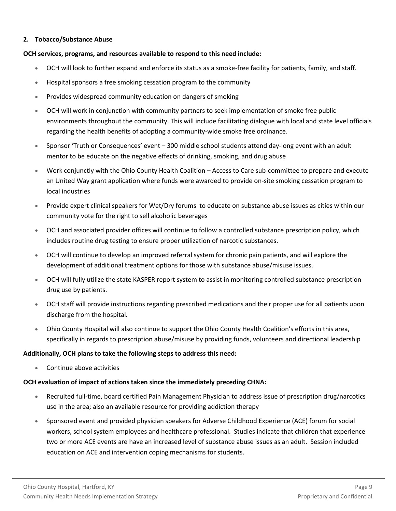# **2. Tobacco/Substance Abuse**

# **OCH services, programs, and resources available to respond to this need include:**

- OCH will look to further expand and enforce its status as a smoke-free facility for patients, family, and staff.
- Hospital sponsors a free smoking cessation program to the community
- Provides widespread community education on dangers of smoking
- OCH will work in conjunction with community partners to seek implementation of smoke free public environments throughout the community. This will include facilitating dialogue with local and state level officials regarding the health benefits of adopting a community-wide smoke free ordinance.
- Sponsor 'Truth or Consequences' event 300 middle school students attend day-long event with an adult mentor to be educate on the negative effects of drinking, smoking, and drug abuse
- Work conjunctly with the Ohio County Health Coalition Access to Care sub-committee to prepare and execute an United Way grant application where funds were awarded to provide on-site smoking cessation program to local industries
- Provide expert clinical speakers for Wet/Dry forums to educate on substance abuse issues as cities within our community vote for the right to sell alcoholic beverages
- OCH and associated provider offices will continue to follow a controlled substance prescription policy, which includes routine drug testing to ensure proper utilization of narcotic substances.
- OCH will continue to develop an improved referral system for chronic pain patients, and will explore the development of additional treatment options for those with substance abuse/misuse issues.
- OCH will fully utilize the state KASPER report system to assist in monitoring controlled substance prescription drug use by patients.
- OCH staff will provide instructions regarding prescribed medications and their proper use for all patients upon discharge from the hospital.
- Ohio County Hospital will also continue to support the Ohio County Health Coalition's efforts in this area, specifically in regards to prescription abuse/misuse by providing funds, volunteers and directional leadership

# **Additionally, OCH plans to take the following steps to address this need:**

• Continue above activities

# **OCH evaluation of impact of actions taken since the immediately preceding CHNA:**

- Recruited full-time, board certified Pain Management Physician to address issue of prescription drug/narcotics use in the area; also an available resource for providing addiction therapy
- Sponsored event and provided physician speakers for Adverse Childhood Experience (ACE) forum for social workers, school system employees and healthcare professional. Studies indicate that children that experience two or more ACE events are have an increased level of substance abuse issues as an adult. Session included education on ACE and intervention coping mechanisms for students.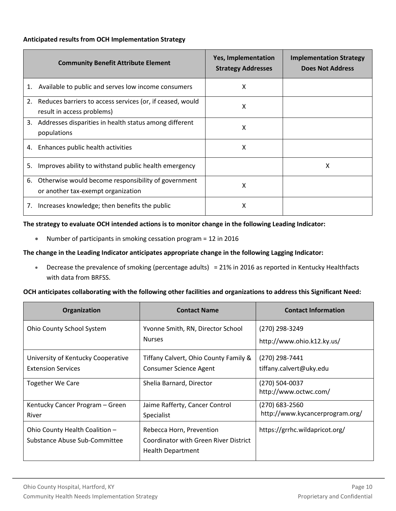# **Anticipated results from OCH Implementation Strategy**

|    | <b>Community Benefit Attribute Element</b>                                                | <b>Yes, Implementation</b><br><b>Strategy Addresses</b> | <b>Implementation Strategy</b><br><b>Does Not Address</b> |
|----|-------------------------------------------------------------------------------------------|---------------------------------------------------------|-----------------------------------------------------------|
| 1. | Available to public and serves low income consumers                                       | x                                                       |                                                           |
| 2. | Reduces barriers to access services (or, if ceased, would<br>result in access problems)   | Χ                                                       |                                                           |
|    | 3. Addresses disparities in health status among different<br>populations                  | x                                                       |                                                           |
| 4. | Enhances public health activities                                                         | X                                                       |                                                           |
| 5. | Improves ability to withstand public health emergency                                     |                                                         | x                                                         |
| 6. | Otherwise would become responsibility of government<br>or another tax-exempt organization | x                                                       |                                                           |
| 7. | Increases knowledge; then benefits the public                                             | χ                                                       |                                                           |

# **The strategy to evaluate OCH intended actions is to monitor change in the following Leading Indicator:**

• Number of participants in smoking cessation program = 12 in 2016

# **The change in the Leading Indicator anticipates appropriate change in the following Lagging Indicator:**

• Decrease the prevalence of smoking (percentage adults) = 21% in 2016 as reported in Kentucky Healthfacts with data from BRFSS.

## **OCH anticipates collaborating with the following other facilities and organizations to address this Significant Need:**

| Organization                                                    | <b>Contact Name</b>                                                                           | <b>Contact Information</b>                        |
|-----------------------------------------------------------------|-----------------------------------------------------------------------------------------------|---------------------------------------------------|
| <b>Ohio County School System</b>                                | Yvonne Smith, RN, Director School<br><b>Nurses</b>                                            | (270) 298-3249<br>http://www.ohio.k12.ky.us/      |
| University of Kentucky Cooperative<br><b>Extension Services</b> | Tiffany Calvert, Ohio County Family &<br><b>Consumer Science Agent</b>                        | (270) 298-7441<br>tiffany.calvert@uky.edu         |
| <b>Together We Care</b>                                         | Shelia Barnard, Director                                                                      | (270) 504-0037<br>http://www.octwc.com/           |
| Kentucky Cancer Program - Green<br>River                        | Jaime Rafferty, Cancer Control<br>Specialist                                                  | (270) 683-2560<br>http://www.kycancerprogram.org/ |
| Ohio County Health Coalition -<br>Substance Abuse Sub-Committee | Rebecca Horn, Prevention<br>Coordinator with Green River District<br><b>Health Department</b> | https://grrhc.wildapricot.org/                    |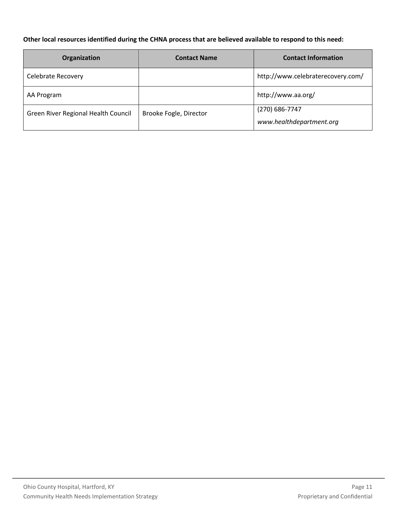| Organization                        | <b>Contact Name</b>    | <b>Contact Information</b>        |
|-------------------------------------|------------------------|-----------------------------------|
| Celebrate Recovery                  |                        | http://www.celebraterecovery.com/ |
| AA Program                          |                        | http://www.aa.org/                |
| Green River Regional Health Council | Brooke Fogle, Director | (270) 686-7747                    |
|                                     |                        | www.healthdepartment.org          |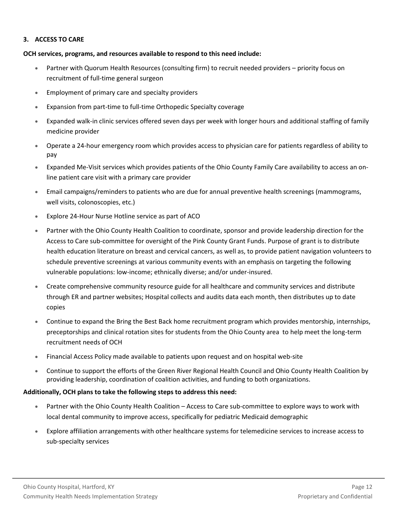# **3. ACCESS TO CARE**

# **OCH services, programs, and resources available to respond to this need include:**

- Partner with Quorum Health Resources (consulting firm) to recruit needed providers priority focus on recruitment of full-time general surgeon
- Employment of primary care and specialty providers
- Expansion from part-time to full-time Orthopedic Specialty coverage
- Expanded walk-in clinic services offered seven days per week with longer hours and additional staffing of family medicine provider
- Operate a 24-hour emergency room which provides access to physician care for patients regardless of ability to pay
- Expanded Me-Visit services which provides patients of the Ohio County Family Care availability to access an online patient care visit with a primary care provider
- Email campaigns/reminders to patients who are due for annual preventive health screenings (mammograms, well visits, colonoscopies, etc.)
- Explore 24-Hour Nurse Hotline service as part of ACO
- Partner with the Ohio County Health Coalition to coordinate, sponsor and provide leadership direction for the Access to Care sub-committee for oversight of the Pink County Grant Funds. Purpose of grant is to distribute health education literature on breast and cervical cancers, as well as, to provide patient navigation volunteers to schedule preventive screenings at various community events with an emphasis on targeting the following vulnerable populations: low-income; ethnically diverse; and/or under-insured.
- Create comprehensive community resource guide for all healthcare and community services and distribute through ER and partner websites; Hospital collects and audits data each month, then distributes up to date copies
- Continue to expand the Bring the Best Back home recruitment program which provides mentorship, internships, preceptorships and clinical rotation sites for students from the Ohio County area to help meet the long-term recruitment needs of OCH
- Financial Access Policy made available to patients upon request and on hospital web-site
- Continue to support the efforts of the Green River Regional Health Council and Ohio County Health Coalition by providing leadership, coordination of coalition activities, and funding to both organizations.

# **Additionally, OCH plans to take the following steps to address this need:**

- Partner with the Ohio County Health Coalition Access to Care sub-committee to explore ways to work with local dental community to improve access, specifically for pediatric Medicaid demographic
- Explore affiliation arrangements with other healthcare systems for telemedicine services to increase access to sub-specialty services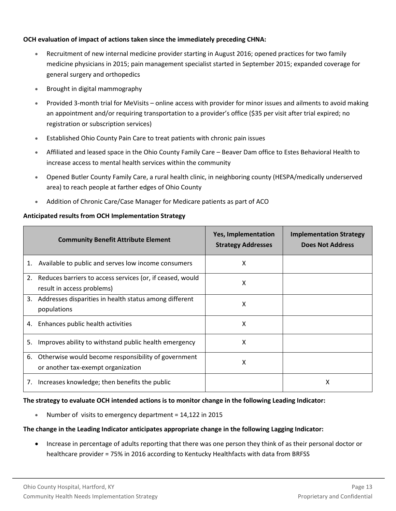# **OCH evaluation of impact of actions taken since the immediately preceding CHNA:**

- Recruitment of new internal medicine provider starting in August 2016; opened practices for two family medicine physicians in 2015; pain management specialist started in September 2015; expanded coverage for general surgery and orthopedics
- Brought in digital mammography
- Provided 3-month trial for MeVisits online access with provider for minor issues and ailments to avoid making an appointment and/or requiring transportation to a provider's office (\$35 per visit after trial expired; no registration or subscription services)
- Established Ohio County Pain Care to treat patients with chronic pain issues
- Affiliated and leased space in the Ohio County Family Care Beaver Dam office to Estes Behavioral Health to increase access to mental health services within the community
- Opened Butler County Family Care, a rural health clinic, in neighboring county (HESPA/medically underserved area) to reach people at farther edges of Ohio County
- Addition of Chronic Care/Case Manager for Medicare patients as part of ACO

# **Anticipated results from OCH Implementation Strategy**

|    | <b>Community Benefit Attribute Element</b>                                                | Yes, Implementation<br><b>Strategy Addresses</b> | <b>Implementation Strategy</b><br><b>Does Not Address</b> |
|----|-------------------------------------------------------------------------------------------|--------------------------------------------------|-----------------------------------------------------------|
| 1. | Available to public and serves low income consumers                                       | x                                                |                                                           |
| 2. | Reduces barriers to access services (or, if ceased, would<br>result in access problems)   | x                                                |                                                           |
|    | 3. Addresses disparities in health status among different<br>populations                  | X                                                |                                                           |
|    | 4. Enhances public health activities                                                      | X                                                |                                                           |
| 5. | Improves ability to withstand public health emergency                                     | x                                                |                                                           |
| 6. | Otherwise would become responsibility of government<br>or another tax-exempt organization | X                                                |                                                           |
| 7. | Increases knowledge; then benefits the public                                             |                                                  | х                                                         |

# **The strategy to evaluate OCH intended actions is to monitor change in the following Leading Indicator:**

• Number of visits to emergency department = 14,122 in 2015

# **The change in the Leading Indicator anticipates appropriate change in the following Lagging Indicator:**

• Increase in percentage of adults reporting that there was one person they think of as their personal doctor or healthcare provider = 75% in 2016 according to Kentucky Healthfacts with data from BRFSS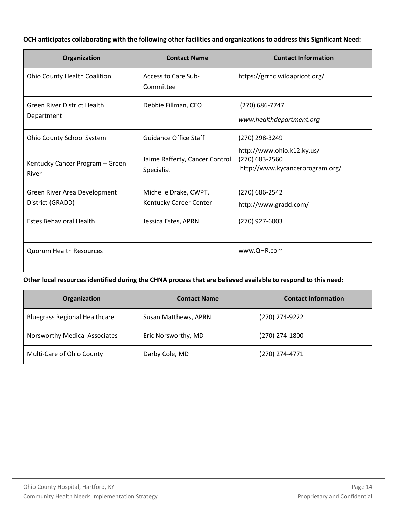# **OCH anticipates collaborating with the following other facilities and organizations to address this Significant Need:**

| Organization                                     | <b>Contact Name</b>                          | <b>Contact Information</b>                        |
|--------------------------------------------------|----------------------------------------------|---------------------------------------------------|
| <b>Ohio County Health Coalition</b>              | Access to Care Sub-<br>Committee             | https://grrhc.wildapricot.org/                    |
| <b>Green River District Health</b><br>Department | Debbie Fillman, CEO                          | (270) 686-7747<br>www.healthdepartment.org        |
| Ohio County School System                        | <b>Guidance Office Staff</b>                 | (270) 298-3249<br>http://www.ohio.k12.ky.us/      |
| Kentucky Cancer Program - Green<br>River         | Jaime Rafferty, Cancer Control<br>Specialist | (270) 683-2560<br>http://www.kycancerprogram.org/ |
| Green River Area Development                     | Michelle Drake, CWPT,                        | (270) 686-2542                                    |
| District (GRADD)                                 | Kentucky Career Center                       | http://www.gradd.com/                             |
| <b>Estes Behavioral Health</b>                   | Jessica Estes, APRN                          | (270) 927-6003                                    |
| <b>Quorum Health Resources</b>                   |                                              | www.QHR.com                                       |

| Organization                         | <b>Contact Name</b>  | <b>Contact Information</b> |
|--------------------------------------|----------------------|----------------------------|
| <b>Bluegrass Regional Healthcare</b> | Susan Matthews, APRN | (270) 274-9222             |
| Norsworthy Medical Associates        | Eric Norsworthy, MD  | (270) 274-1800             |
| Multi-Care of Ohio County            | Darby Cole, MD       | (270) 274-4771             |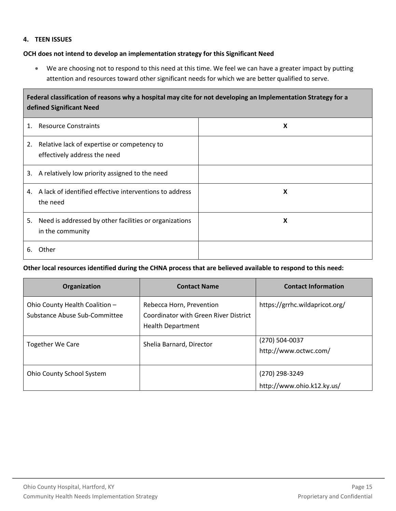# **4. TEEN ISSUES**

# **OCH does not intend to develop an implementation strategy for this Significant Need**

• We are choosing not to respond to this need at this time. We feel we can have a greater impact by putting attention and resources toward other significant needs for which we are better qualified to serve.

| Federal classification of reasons why a hospital may cite for not developing an Implementation Strategy for a<br>defined Significant Need |                                                                               |   |  |
|-------------------------------------------------------------------------------------------------------------------------------------------|-------------------------------------------------------------------------------|---|--|
| 1.                                                                                                                                        | <b>Resource Constraints</b>                                                   | X |  |
| 2.                                                                                                                                        | Relative lack of expertise or competency to<br>effectively address the need   |   |  |
| 3.                                                                                                                                        | A relatively low priority assigned to the need                                |   |  |
|                                                                                                                                           | 4. A lack of identified effective interventions to address<br>the need        | X |  |
|                                                                                                                                           | 5. Need is addressed by other facilities or organizations<br>in the community | X |  |
| 6.                                                                                                                                        | Other                                                                         |   |  |

| Organization                                                    | <b>Contact Name</b>                                                                           | <b>Contact Information</b>                   |
|-----------------------------------------------------------------|-----------------------------------------------------------------------------------------------|----------------------------------------------|
| Ohio County Health Coalition -<br>Substance Abuse Sub-Committee | Rebecca Horn, Prevention<br>Coordinator with Green River District<br><b>Health Department</b> | https://grrhc.wildapricot.org/               |
| Together We Care                                                | Shelia Barnard, Director                                                                      | (270) 504-0037<br>http://www.octwc.com/      |
| Ohio County School System                                       |                                                                                               | (270) 298-3249<br>http://www.ohio.k12.ky.us/ |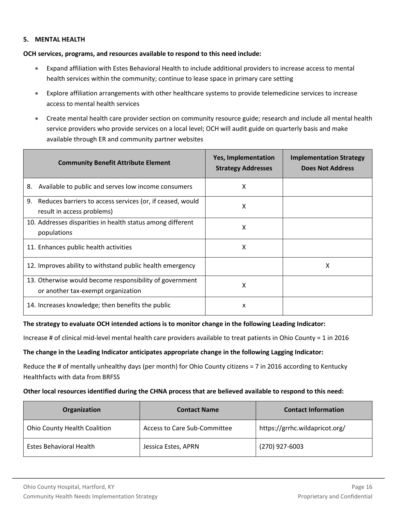# **5. MENTAL HEALTH**

# **OCH services, programs, and resources available to respond to this need include:**

- Expand affiliation with Estes Behavioral Health to include additional providers to increase access to mental health services within the community; continue to lease space in primary care setting
- Explore affiliation arrangements with other healthcare systems to provide telemedicine services to increase access to mental health services
- Create mental health care provider section on community resource guide; research and include all mental health service providers who provide services on a local level; OCH will audit guide on quarterly basis and make available through ER and community partner websites

| <b>Community Benefit Attribute Element</b>                                                    | <b>Yes, Implementation</b><br><b>Strategy Addresses</b> | <b>Implementation Strategy</b><br><b>Does Not Address</b> |
|-----------------------------------------------------------------------------------------------|---------------------------------------------------------|-----------------------------------------------------------|
| Available to public and serves low income consumers<br>8.                                     | x                                                       |                                                           |
| 9. Reduces barriers to access services (or, if ceased, would<br>result in access problems)    | X                                                       |                                                           |
| 10. Addresses disparities in health status among different<br>populations                     | x                                                       |                                                           |
| 11. Enhances public health activities                                                         | x                                                       |                                                           |
| 12. Improves ability to withstand public health emergency                                     |                                                         | X                                                         |
| 13. Otherwise would become responsibility of government<br>or another tax-exempt organization | x                                                       |                                                           |
| 14. Increases knowledge; then benefits the public                                             | X                                                       |                                                           |

## **The strategy to evaluate OCH intended actions is to monitor change in the following Leading Indicator:**

Increase # of clinical mid-level mental health care providers available to treat patients in Ohio County = 1 in 2016

## **The change in the Leading Indicator anticipates appropriate change in the following Lagging Indicator:**

Reduce the # of mentally unhealthy days (per month) for Ohio County citizens = 7 in 2016 according to Kentucky Healthfacts with data from BRFSS

| Organization                        | <b>Contact Name</b>          | <b>Contact Information</b>     |
|-------------------------------------|------------------------------|--------------------------------|
| <b>Ohio County Health Coalition</b> | Access to Care Sub-Committee | https://grrhc.wildapricot.org/ |
| Estes Behavioral Health             | Jessica Estes, APRN          | (270) 927-6003                 |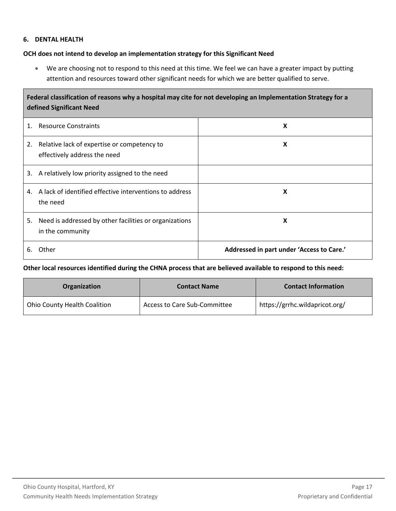# **6. DENTAL HEALTH**

# **OCH does not intend to develop an implementation strategy for this Significant Need**

• We are choosing not to respond to this need at this time. We feel we can have a greater impact by putting attention and resources toward other significant needs for which we are better qualified to serve.

| Federal classification of reasons why a hospital may cite for not developing an Implementation Strategy for a<br>defined Significant Need |                                                         |                                           |  |
|-------------------------------------------------------------------------------------------------------------------------------------------|---------------------------------------------------------|-------------------------------------------|--|
| <b>Resource Constraints</b><br>1.                                                                                                         |                                                         | X                                         |  |
| Relative lack of expertise or competency to<br>2.<br>effectively address the need                                                         |                                                         | X                                         |  |
| A relatively low priority assigned to the need<br>3.                                                                                      |                                                         |                                           |  |
| 4.<br>the need                                                                                                                            | A lack of identified effective interventions to address | X                                         |  |
| 5.<br>in the community                                                                                                                    | Need is addressed by other facilities or organizations  | X                                         |  |
| Other<br>6.                                                                                                                               |                                                         | Addressed in part under 'Access to Care.' |  |

| <b>Organization</b>          | <b>Contact Name</b>          | <b>Contact Information</b>     |
|------------------------------|------------------------------|--------------------------------|
| Ohio County Health Coalition | Access to Care Sub-Committee | https://grrhc.wildapricot.org/ |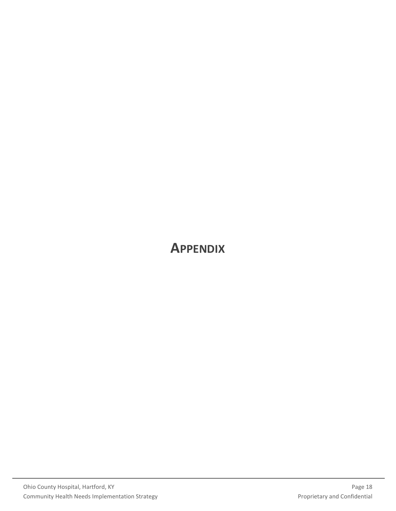# <span id="page-19-0"></span>**APPENDIX**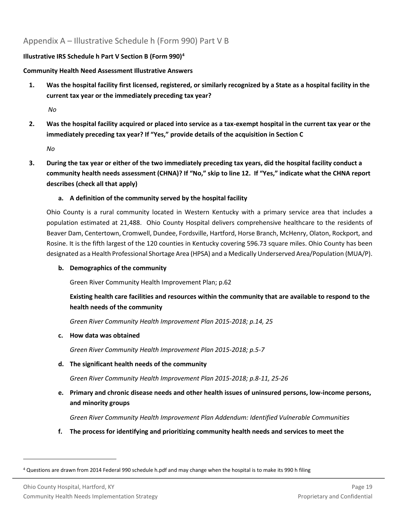# <span id="page-20-0"></span>Appendix A – Illustrative Schedule h (Form 990) Part V B

# **Illustrative IRS Schedule h Part V Section B (Form 990)<sup>4</sup>**

# **Community Health Need Assessment Illustrative Answers**

**1. Was the hospital facility first licensed, registered, or similarly recognized by a State as a hospital facility in the current tax year or the immediately preceding tax year?**

*No*

**2. Was the hospital facility acquired or placed into service as a tax-exempt hospital in the current tax year or the immediately preceding tax year? If "Yes," provide details of the acquisition in Section C**

*No*

**3. During the tax year or either of the two immediately preceding tax years, did the hospital facility conduct a community health needs assessment (CHNA)? If "No," skip to line 12. If "Yes," indicate what the CHNA report describes (check all that apply)**

# **a. A definition of the community served by the hospital facility**

Ohio County is a rural community located in Western Kentucky with a primary service area that includes a population estimated at 21,488. Ohio County Hospital delivers comprehensive healthcare to the residents of Beaver Dam, Centertown, Cromwell, Dundee, Fordsville, Hartford, Horse Branch, McHenry, Olaton, Rockport, and Rosine. It is the fifth largest of the 120 counties in Kentucky covering 596.73 square miles. Ohio County has been designated as a Health Professional Shortage Area (HPSA) and a Medically Underserved Area/Population (MUA/P).

# **b. Demographics of the community**

Green River Community Health Improvement Plan; p.62

# **Existing health care facilities and resources within the community that are available to respond to the health needs of the community**

*Green River Community Health Improvement Plan 2015-2018; p.14, 25*

# **c. How data was obtained**

*Green River Community Health Improvement Plan 2015-2018; p.5-7* 

# **d. The significant health needs of the community**

*Green River Community Health Improvement Plan 2015-2018; p.8-11, 25-26* 

**e. Primary and chronic disease needs and other health issues of uninsured persons, low-income persons, and minority groups**

*Green River Community Health Improvement Plan Addendum: Identified Vulnerable Communities*

**f. The process for identifying and prioritizing community health needs and services to meet the** 

<sup>4</sup> Questions are drawn from 2014 Federal 990 schedule h.pdf and may change when the hospital is to make its 990 h filing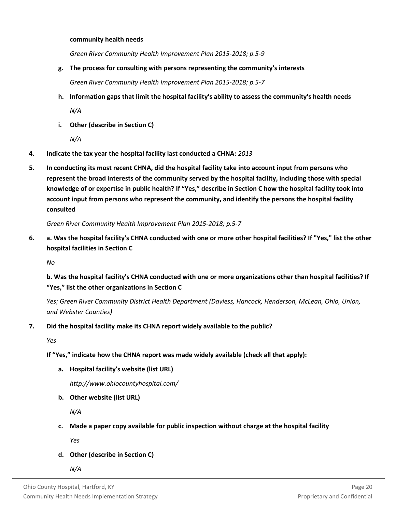# **community health needs**

*Green River Community Health Improvement Plan 2015-2018; p.5-9*

**g. The process for consulting with persons representing the community's interests**

*Green River Community Health Improvement Plan 2015-2018; p.5-7*

**h. Information gaps that limit the hospital facility's ability to assess the community's health needs**

*N/A*

**i. Other (describe in Section C)**

*N/A*

- **4. Indicate the tax year the hospital facility last conducted a CHNA:** *2013*
- **5. In conducting its most recent CHNA, did the hospital facility take into account input from persons who represent the broad interests of the community served by the hospital facility, including those with special knowledge of or expertise in public health? If "Yes," describe in Section C how the hospital facility took into account input from persons who represent the community, and identify the persons the hospital facility consulted**

*Green River Community Health Improvement Plan 2015-2018; p.5-7*

**6. a. Was the hospital facility's CHNA conducted with one or more other hospital facilities? If "Yes," list the other hospital facilities in Section C**

*No*

**b. Was the hospital facility's CHNA conducted with one or more organizations other than hospital facilities? If "Yes," list the other organizations in Section C**

*Yes; Green River Community District Health Department (Daviess, Hancock, Henderson, McLean, Ohio, Union, and Webster Counties)*

# **7. Did the hospital facility make its CHNA report widely available to the public?**

*Yes*

# **If "Yes," indicate how the CHNA report was made widely available (check all that apply):**

**a. Hospital facility's website (list URL)**

*http://www.ohiocountyhospital.com/*

**b. Other website (list URL)**

*N/A*

**c. Made a paper copy available for public inspection without charge at the hospital facility**

*Yes*

**d. Other (describe in Section C)**

*N/A*